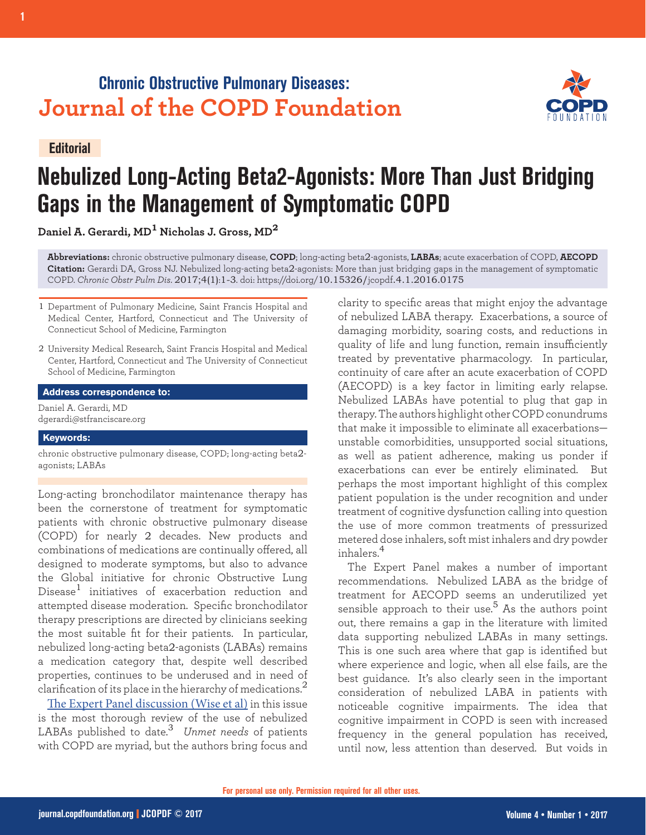# **Chronic Obstructive Pulmonary Diseases: Journal of the COPD Foundation**



### **Editorial**

# **Nebulized Long-Acting Beta2-Agonists: More Than Just Bridging Gaps in the Management of Symptomatic COPD**

**Daniel A. Gerardi, MD1 Nicholas J. Gross, MD<sup>2</sup>**

**Abbreviations:** chronic obstructive pulmonary disease, **COPD**; long-acting beta2-agonists, **LABAs**; acute exacerbation of COPD, **AECOPD Citation:** Gerardi DA, Gross NJ. Nebulized long-acting beta2-agonists: More than just bridging gaps in the management of symptomatic COPD. *Chronic Obstr Pulm Dis*. 2017;4(1):1-3. doi: https://doi.org/10.15326/jcopdf.4.1.2016.0175

- 1 Department of Pulmonary Medicine, Saint Francis Hospital and Medical Center, Hartford, Connecticut and The University of Connecticut School of Medicine, Farmington
- 2 University Medical Research, Saint Francis Hospital and Medical Center, Hartford, Connecticut and The University of Connecticut School of Medicine, Farmington

#### **Address correspondence to:**

Daniel A. Gerardi, MD dgerardi@stfranciscare.org

#### **Keywords:**

chronic obstructive pulmonary disease, COPD; long-acting beta2 agonists; LABAs

Long-acting bronchodilator maintenance therapy has been the cornerstone of treatment for symptomatic patients with chronic obstructive pulmonary disease (COPD) for nearly 2 decades. New products and combinations of medications are continually offered, all designed to moderate symptoms, but also to advance the Global initiative for chronic Obstructive Lung Disease<sup>1</sup> initiatives of exacerbation reduction and attempted disease moderation. Specific bronchodilator therapy prescriptions are directed by clinicians seeking the most suitable fit for their patients. In particular, nebulized long-acting beta2-agonists (LABAs) remains a medication category that, despite well described properties, continues to be underused and in need of clarification of its place in the hierarchy of medications.<sup>2</sup>

[The Expert Panel discussion \(Wise et al\)](http://journal.copdfoundation.org/jcopdf/id/1132/Guiding-Principles-for-the-Use-of-Nebulized-Long-Acting-Beta2-Agonists-in-Patients-with-COPD-An-Expert-Panel-Consensus) in this issue is the most thorough review of the use of nebulized LABAs published to date.<sup>3</sup> *Unmet needs* of patients with COPD are myriad, but the authors bring focus and

clarity to specific areas that might enjoy the advantage of nebulized LABA therapy. Exacerbations, a source of damaging morbidity, soaring costs, and reductions in quality of life and lung function, remain insufficiently treated by preventative pharmacology. In particular, continuity of care after an acute exacerbation of COPD (AECOPD) is a key factor in limiting early relapse. Nebulized LABAs have potential to plug that gap in therapy. The authors highlight other COPD conundrums that make it impossible to eliminate all exacerbations unstable comorbidities, unsupported social situations, as well as patient adherence, making us ponder if exacerbations can ever be entirely eliminated. But perhaps the most important highlight of this complex patient population is the under recognition and under treatment of cognitive dysfunction calling into question the use of more common treatments of pressurized metered dose inhalers, soft mist inhalers and dry powder inhalers.<sup>4</sup>

The Expert Panel makes a number of important recommendations. Nebulized LABA as the bridge of treatment for AECOPD seems an underutilized yet sensible approach to their use.<sup>5</sup> As the authors point out, there remains a gap in the literature with limited data supporting nebulized LABAs in many settings. This is one such area where that gap is identified but where experience and logic, when all else fails, are the best guidance. It's also clearly seen in the important consideration of nebulized LABA in patients with noticeable cognitive impairments. The idea that cognitive impairment in COPD is seen with increased frequency in the general population has received, until now, less attention than deserved. But voids in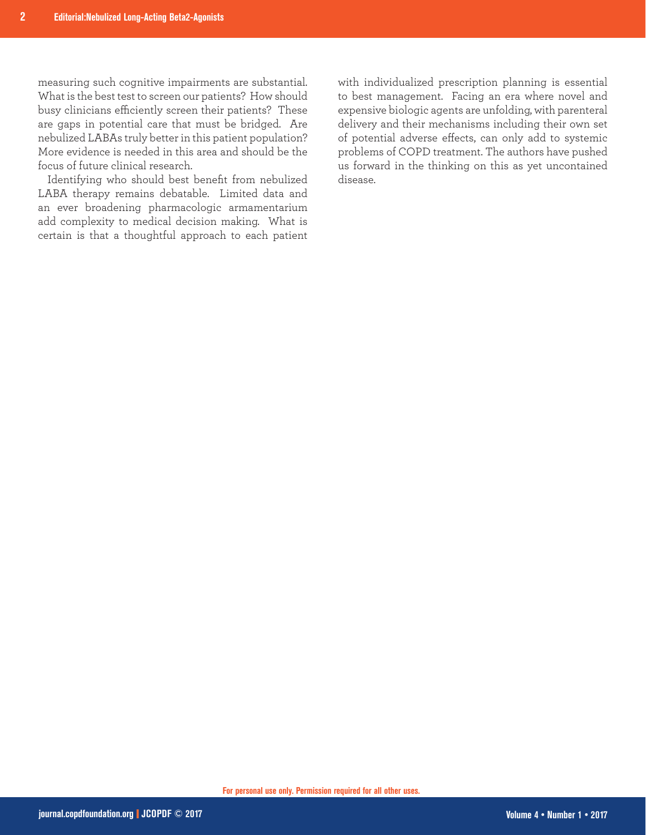measuring such cognitive impairments are substantial. What is the best test to screen our patients? How should busy clinicians efficiently screen their patients? These are gaps in potential care that must be bridged. Are nebulized LABAs truly better in this patient population? More evidence is needed in this area and should be the focus of future clinical research.

Identifying who should best benefit from nebulized LABA therapy remains debatable. Limited data and an ever broadening pharmacologic armamentarium add complexity to medical decision making. What is certain is that a thoughtful approach to each patient with individualized prescription planning is essential to best management. Facing an era where novel and expensive biologic agents are unfolding, with parenteral delivery and their mechanisms including their own set of potential adverse effects, can only add to systemic problems of COPD treatment. The authors have pushed us forward in the thinking on this as yet uncontained disease.